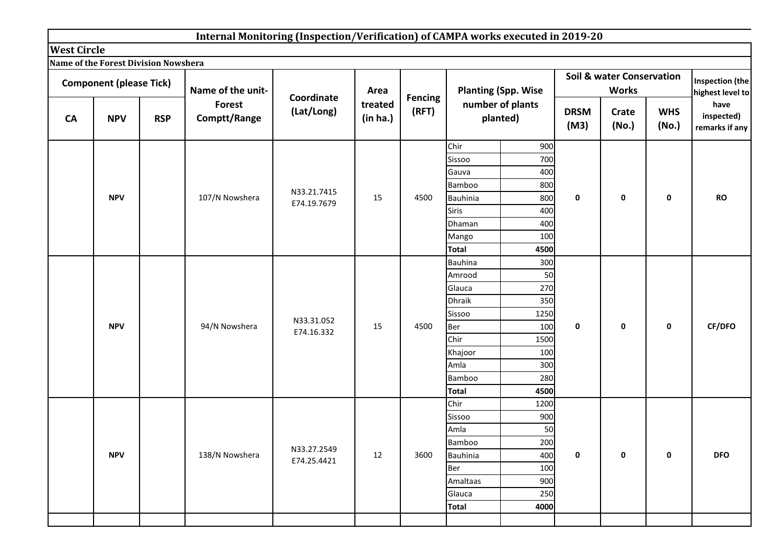|                    |                                             |            | Internal Monitoring (Inspection/Verification) of CAMPA works executed in 2019-20 |             |                     |                |                      |                              |                     |                                                      |                     |                                      |
|--------------------|---------------------------------------------|------------|----------------------------------------------------------------------------------|-------------|---------------------|----------------|----------------------|------------------------------|---------------------|------------------------------------------------------|---------------------|--------------------------------------|
| <b>West Circle</b> |                                             |            |                                                                                  |             |                     |                |                      |                              |                     |                                                      |                     |                                      |
|                    | <b>Name of the Forest Division Nowshera</b> |            |                                                                                  |             |                     |                |                      |                              |                     |                                                      |                     |                                      |
|                    | <b>Component (please Tick)</b>              |            | Name of the unit-                                                                | Coordinate  | Area                | <b>Fencing</b> |                      | <b>Planting (Spp. Wise</b>   |                     | <b>Soil &amp; water Conservation</b><br><b>Works</b> |                     | Inspection (the<br>highest level to  |
| <b>CA</b>          | <b>NPV</b>                                  | <b>RSP</b> | <b>Forest</b><br>Comptt/Range                                                    | (Lat/Long)  | treated<br>(in ha.) | (RFT)          |                      | number of plants<br>planted) | <b>DRSM</b><br>(M3) | Crate<br>(No.)                                       | <b>WHS</b><br>(No.) | have<br>inspected)<br>remarks if any |
|                    |                                             |            |                                                                                  |             |                     |                | Chir                 | 900                          |                     |                                                      |                     |                                      |
|                    |                                             |            |                                                                                  |             |                     |                | Sissoo               | 700                          |                     |                                                      |                     |                                      |
|                    |                                             |            |                                                                                  |             |                     |                | Gauva                | 400                          |                     |                                                      |                     |                                      |
|                    |                                             |            |                                                                                  | N33.21.7415 |                     |                | Bamboo               | 800                          |                     |                                                      |                     |                                      |
|                    | <b>NPV</b>                                  |            | 107/N Nowshera                                                                   | E74.19.7679 | 15                  | 4500           | <b>Bauhinia</b>      | 800                          | 0                   | $\pmb{0}$                                            | 0                   | <b>RO</b>                            |
|                    |                                             |            |                                                                                  |             |                     |                | Siris                | 400                          |                     |                                                      |                     |                                      |
|                    |                                             |            |                                                                                  |             |                     |                | Dhaman               | 400                          |                     |                                                      |                     |                                      |
|                    |                                             |            |                                                                                  |             |                     |                | Mango                | 100                          |                     |                                                      |                     |                                      |
|                    |                                             |            |                                                                                  |             |                     |                | <b>Total</b>         | 4500                         |                     |                                                      |                     |                                      |
|                    |                                             |            |                                                                                  |             |                     |                | <b>Bauhina</b>       | 300                          |                     |                                                      |                     |                                      |
|                    |                                             |            |                                                                                  |             |                     |                | Amrood<br>Glauca     | 50<br>270                    |                     |                                                      |                     |                                      |
|                    |                                             |            |                                                                                  |             |                     | <b>Dhraik</b>  | 350                  |                              |                     |                                                      |                     |                                      |
|                    |                                             |            |                                                                                  |             |                     |                | Sissoo               | 1250                         |                     |                                                      |                     |                                      |
|                    | <b>NPV</b>                                  |            | 94/N Nowshera                                                                    | N33.31.052  | 15                  | 4500           | Ber                  | 100                          | 0                   | $\mathbf 0$                                          | 0                   | CF/DFO                               |
|                    |                                             |            |                                                                                  | E74.16.332  |                     |                | Chir                 | 1500                         |                     |                                                      |                     |                                      |
|                    |                                             |            |                                                                                  |             |                     |                | Khajoor              | 100                          |                     |                                                      |                     |                                      |
|                    |                                             |            |                                                                                  |             |                     |                | Amla                 | 300                          |                     |                                                      |                     |                                      |
|                    |                                             |            |                                                                                  |             |                     |                | Bamboo               | 280                          |                     |                                                      |                     |                                      |
|                    |                                             |            |                                                                                  |             |                     |                | <b>Total</b>         | 4500                         |                     |                                                      |                     |                                      |
|                    |                                             |            |                                                                                  |             |                     |                | Chir                 | 1200                         |                     |                                                      |                     |                                      |
|                    |                                             |            |                                                                                  |             |                     |                | Sissoo               | 900                          |                     |                                                      |                     |                                      |
|                    |                                             |            |                                                                                  |             |                     |                | Amla                 | 50                           |                     |                                                      |                     |                                      |
|                    |                                             |            |                                                                                  | N33.27.2549 |                     |                | Bamboo               | 200                          |                     |                                                      |                     |                                      |
|                    | <b>NPV</b>                                  |            | 138/N Nowshera                                                                   | E74.25.4421 | 12                  | 3600           | <b>Bauhinia</b>      | 400                          | $\mathbf 0$         | $\mathbf 0$                                          | 0                   | <b>DFO</b>                           |
|                    |                                             |            |                                                                                  |             |                     |                | Ber                  | 100                          |                     |                                                      |                     |                                      |
|                    |                                             |            |                                                                                  |             |                     |                | Amaltaas             | 900                          |                     |                                                      |                     |                                      |
|                    |                                             |            |                                                                                  |             |                     |                | Glauca               | 250                          |                     |                                                      |                     |                                      |
|                    |                                             |            |                                                                                  |             |                     |                | <b>Total</b><br>4000 |                              |                     |                                                      |                     |                                      |
|                    |                                             |            |                                                                                  |             |                     |                |                      |                              |                     |                                                      |                     |                                      |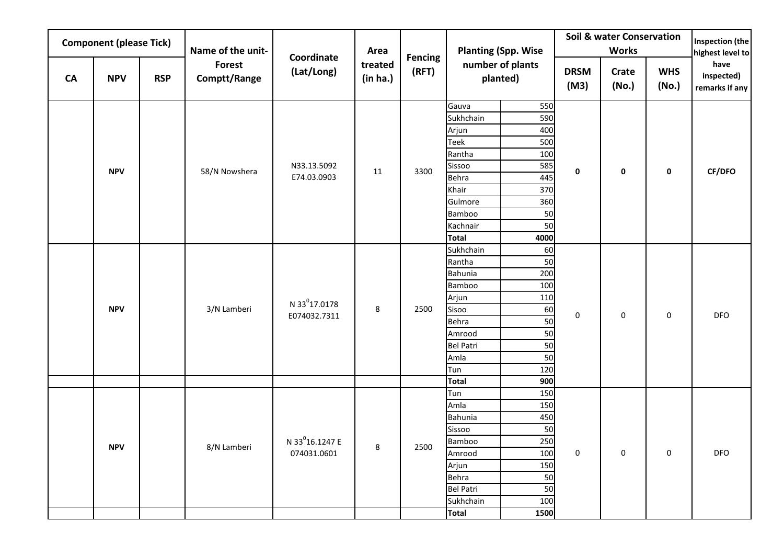|            | <b>Component (please Tick)</b> |             | Name of the unit-             |                             | Area                |                         |                           | <b>Planting (Spp. Wise</b>   |                     | <b>Soil &amp; water Conservation</b><br><b>Works</b> |                     | Inspection (the<br>highest level to  |
|------------|--------------------------------|-------------|-------------------------------|-----------------------------|---------------------|-------------------------|---------------------------|------------------------------|---------------------|------------------------------------------------------|---------------------|--------------------------------------|
| CA         | <b>NPV</b>                     | <b>RSP</b>  | <b>Forest</b><br>Comptt/Range | Coordinate<br>(Lat/Long)    | treated<br>(in ha.) | <b>Fencing</b><br>(RFT) |                           | number of plants<br>planted) | <b>DRSM</b><br>(M3) | Crate<br>(No.)                                       | <b>WHS</b><br>(No.) | have<br>inspected)<br>remarks if any |
|            |                                |             |                               |                             |                     |                         | Gauva                     | 550                          |                     |                                                      |                     |                                      |
|            |                                |             |                               |                             |                     |                         | Sukhchain                 | 590                          |                     |                                                      |                     |                                      |
|            |                                |             |                               |                             |                     |                         | Arjun                     | 400                          |                     |                                                      |                     |                                      |
|            |                                |             |                               |                             |                     |                         | Teek                      | 500                          |                     |                                                      |                     |                                      |
|            |                                |             |                               |                             |                     |                         | Rantha                    | 100                          |                     |                                                      |                     |                                      |
|            | <b>NPV</b>                     |             | 58/N Nowshera                 | N33.13.5092                 | 11                  | 3300                    | Sissoo                    | 585                          | 0                   | $\mathbf 0$                                          | 0                   | CF/DFO                               |
|            |                                |             |                               | E74.03.0903                 |                     |                         | Behra                     | 445<br>370                   |                     |                                                      |                     |                                      |
|            |                                |             |                               |                             |                     |                         | Khair<br>Gulmore          | 360                          |                     |                                                      |                     |                                      |
|            |                                |             |                               |                             |                     |                         | Bamboo                    | 50                           |                     |                                                      |                     |                                      |
|            |                                |             |                               |                             |                     |                         | Kachnair                  | 50                           |                     |                                                      |                     |                                      |
|            |                                |             |                               |                             |                     |                         | <b>Total</b>              | 4000                         |                     |                                                      |                     |                                      |
|            |                                |             |                               |                             |                     |                         | Sukhchain                 | 60                           |                     |                                                      |                     |                                      |
|            |                                |             |                               |                             |                     | Rantha                  | 50                        |                              |                     |                                                      |                     |                                      |
|            |                                |             |                               |                             |                     | Bahunia                 | 200                       |                              |                     |                                                      |                     |                                      |
|            |                                |             |                               |                             |                     |                         | Bamboo                    | 100                          |                     |                                                      |                     |                                      |
|            |                                |             |                               | N 33 <sup>0</sup> 17.0178   |                     |                         | Arjun                     | 110                          |                     |                                                      |                     |                                      |
|            | <b>NPV</b>                     |             | 3/N Lamberi                   | E074032.7311                | 8                   | 2500                    | Sisoo                     | 60                           | $\mathsf 0$         | $\mathsf 0$                                          | 0                   | <b>DFO</b>                           |
|            |                                |             |                               |                             |                     |                         | Behra                     | 50                           |                     |                                                      |                     |                                      |
|            |                                |             |                               |                             |                     |                         | Amrood                    | 50                           |                     |                                                      |                     |                                      |
|            |                                |             |                               |                             |                     |                         | <b>Bel Patri</b>          | 50                           |                     |                                                      |                     |                                      |
|            |                                |             |                               |                             |                     |                         | Amla                      | 50                           |                     |                                                      |                     |                                      |
|            |                                |             |                               |                             |                     |                         | Tun<br><b>Total</b>       | 120<br>900                   |                     |                                                      |                     |                                      |
|            |                                |             |                               |                             |                     |                         | Tun                       | 150                          |                     |                                                      |                     |                                      |
|            |                                |             |                               |                             |                     |                         | Amla                      | 150                          |                     |                                                      |                     |                                      |
|            |                                |             |                               |                             |                     |                         | Bahunia                   | 450                          |                     |                                                      |                     |                                      |
|            |                                |             |                               |                             |                     |                         | Sissoo                    | 50                           |                     |                                                      |                     |                                      |
|            |                                |             |                               | N 33 <sup>0</sup> 16.1247 E | 8 <sup>1</sup>      |                         | Bamboo                    | 250                          |                     |                                                      |                     |                                      |
| <b>NPV</b> |                                | 8/N Lamberi | 074031.0601                   |                             | 2500                | Amrood                  | 100                       | $\mathsf{O}\xspace$          | 0                   | 0                                                    | DFO                 |                                      |
|            |                                |             |                               |                             |                     | Arjun                   | 150                       |                              |                     |                                                      |                     |                                      |
|            |                                |             |                               |                             |                     |                         | Behra                     | 50                           |                     |                                                      |                     |                                      |
|            |                                |             |                               |                             |                     |                         | <b>Bel Patri</b>          | 50                           |                     |                                                      |                     |                                      |
|            |                                |             |                               |                             |                     |                         |                           | 100                          |                     |                                                      |                     |                                      |
|            |                                |             |                               |                             |                     |                         | Sukhchain<br><b>Total</b> | 1500                         |                     |                                                      |                     |                                      |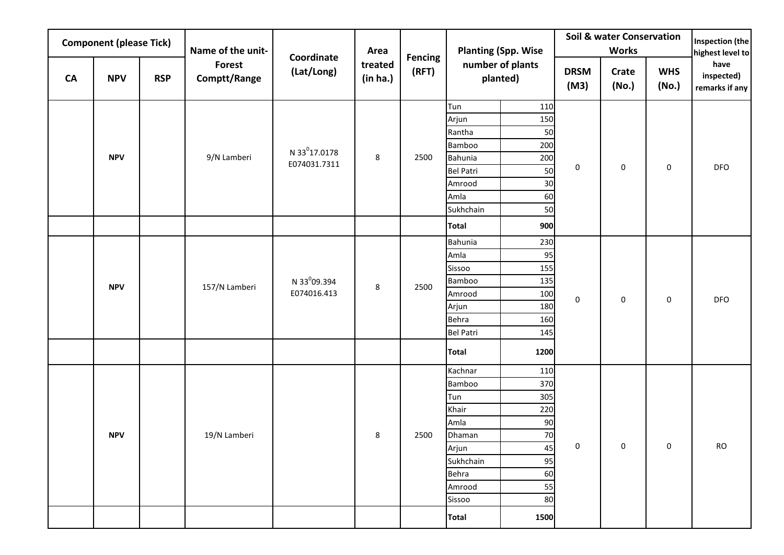|            | <b>Component (please Tick)</b> |               | Name of the unit-      |                           | Area                |                         |                   | <b>Planting (Spp. Wise</b>   |                     | <b>Soil &amp; water Conservation</b><br><b>Works</b> |                     | Inspection (the<br>highest level to  |
|------------|--------------------------------|---------------|------------------------|---------------------------|---------------------|-------------------------|-------------------|------------------------------|---------------------|------------------------------------------------------|---------------------|--------------------------------------|
| CA         | <b>NPV</b>                     | <b>RSP</b>    | Forest<br>Comptt/Range | Coordinate<br>(Lat/Long)  | treated<br>(in ha.) | <b>Fencing</b><br>(RFT) |                   | number of plants<br>planted) | <b>DRSM</b><br>(M3) | Crate<br>(No.)                                       | <b>WHS</b><br>(No.) | have<br>inspected)<br>remarks if any |
|            |                                |               |                        |                           |                     |                         | Tun               | 110                          |                     |                                                      |                     |                                      |
|            |                                |               |                        |                           |                     |                         | Arjun             | 150                          |                     |                                                      |                     |                                      |
|            |                                |               |                        |                           |                     |                         | Rantha            | 50                           |                     |                                                      |                     |                                      |
|            |                                |               |                        | N 33 <sup>0</sup> 17.0178 |                     |                         | Bamboo            | 200                          |                     |                                                      |                     |                                      |
|            | <b>NPV</b>                     |               | 9/N Lamberi            | E074031.7311              | 8                   | 2500                    | Bahunia           | 200                          | $\pmb{0}$           | $\mathsf{O}\xspace$                                  | 0                   | <b>DFO</b>                           |
|            |                                |               |                        |                           |                     |                         | <b>Bel Patri</b>  | 50                           |                     |                                                      |                     |                                      |
|            |                                |               |                        |                           |                     |                         | Amrood            | 30                           |                     |                                                      |                     |                                      |
|            |                                |               |                        |                           |                     |                         | Amla<br>Sukhchain | 60<br>50                     |                     |                                                      |                     |                                      |
|            |                                |               |                        |                           |                     |                         | <b>Total</b>      | 900                          |                     |                                                      |                     |                                      |
|            |                                |               |                        |                           |                     |                         | Bahunia           | 230                          |                     |                                                      |                     |                                      |
|            |                                |               |                        |                           |                     |                         | Amla              | 95                           |                     |                                                      |                     |                                      |
|            |                                |               |                        |                           |                     |                         | Sissoo            | 155                          |                     |                                                      |                     |                                      |
| <b>NPV</b> |                                |               |                        | N 33 <sup>0</sup> 09.394  |                     |                         | Bamboo            | 135                          |                     |                                                      |                     |                                      |
|            |                                | 157/N Lamberi | E074016.413            | 8                         | 2500                | Amrood                  | 100               |                              |                     |                                                      |                     |                                      |
|            |                                |               |                        |                           |                     |                         | Arjun             | 180                          | $\pmb{0}$           | 0                                                    | 0                   | <b>DFO</b>                           |
|            |                                |               |                        |                           |                     |                         | Behra             | 160                          |                     |                                                      |                     |                                      |
|            |                                |               |                        |                           |                     |                         | <b>Bel Patri</b>  | 145                          |                     |                                                      |                     |                                      |
|            |                                |               |                        |                           |                     |                         | <b>Total</b>      | 1200                         |                     |                                                      |                     |                                      |
|            |                                |               |                        |                           |                     |                         | Kachnar           | 110                          |                     |                                                      |                     |                                      |
|            |                                |               |                        |                           |                     |                         | Bamboo            | 370                          |                     |                                                      |                     |                                      |
|            |                                |               |                        |                           |                     |                         | Tun               | 305                          |                     |                                                      |                     |                                      |
|            |                                |               |                        |                           |                     |                         | Khair             | 220                          |                     |                                                      |                     |                                      |
|            |                                |               |                        |                           |                     |                         | Amla              | 90                           |                     |                                                      |                     |                                      |
|            | <b>NPV</b>                     |               | 19/N Lamberi           |                           | 8                   | 2500                    | Dhaman            | 70                           |                     |                                                      |                     |                                      |
|            |                                |               |                        |                           |                     |                         | Arjun             | 45                           | $\overline{0}$      | $\overline{0}$                                       | $\mathbf 0$         | <b>RO</b>                            |
|            |                                |               |                        |                           |                     |                         | Sukhchain         | 95                           |                     |                                                      |                     |                                      |
|            |                                |               |                        |                           |                     |                         | Behra             | 60                           |                     |                                                      |                     |                                      |
|            |                                |               |                        |                           |                     |                         | Amrood            | 55                           |                     |                                                      |                     |                                      |
|            |                                |               |                        |                           |                     |                         | Sissoo            | 80                           |                     |                                                      |                     |                                      |
|            |                                |               |                        |                           |                     |                         | <b>Total</b>      | 1500                         |                     |                                                      |                     |                                      |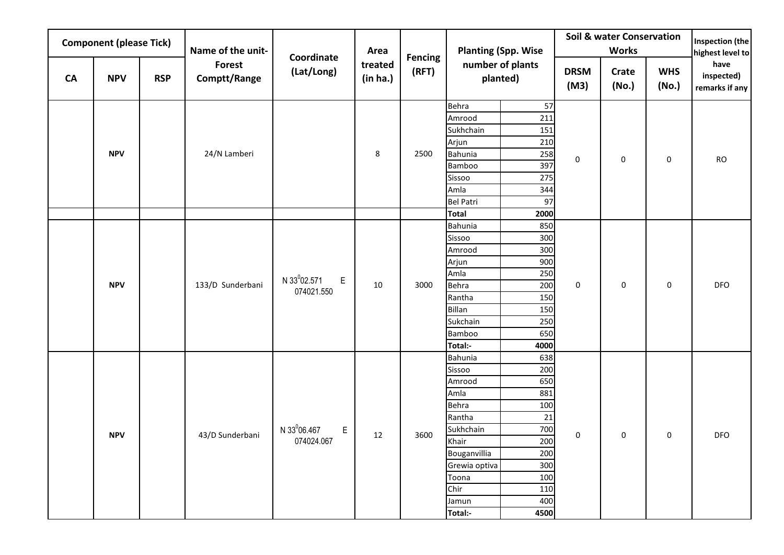|            | <b>Component (please Tick)</b> |            | Name of the unit-             |                               | Area                |                         |                                  | <b>Planting (Spp. Wise</b>   |                     | <b>Soil &amp; water Conservation</b><br><b>Works</b> |                     | Inspection (the<br>highest level to  |
|------------|--------------------------------|------------|-------------------------------|-------------------------------|---------------------|-------------------------|----------------------------------|------------------------------|---------------------|------------------------------------------------------|---------------------|--------------------------------------|
| <b>CA</b>  | <b>NPV</b>                     | <b>RSP</b> | <b>Forest</b><br>Comptt/Range | Coordinate<br>(Lat/Long)      | treated<br>(in ha.) | <b>Fencing</b><br>(RFT) |                                  | number of plants<br>planted) | <b>DRSM</b><br>(M3) | Crate<br>(No.)                                       | <b>WHS</b><br>(No.) | have<br>inspected)<br>remarks if any |
|            |                                |            |                               |                               |                     |                         | Behra<br>Amrood                  | 57<br>211                    |                     |                                                      |                     |                                      |
|            |                                |            |                               |                               |                     |                         | Sukhchain                        | 151                          |                     |                                                      |                     |                                      |
|            |                                |            |                               |                               |                     |                         | Arjun                            | 210                          |                     |                                                      |                     |                                      |
|            | <b>NPV</b>                     |            | 24/N Lamberi                  |                               | 8                   | 2500                    | Bahunia                          | 258                          | $\mathsf 0$         | $\mathsf 0$                                          | 0                   | <b>RO</b>                            |
|            |                                |            |                               |                               |                     |                         | Bamboo                           | 397                          |                     |                                                      |                     |                                      |
|            |                                |            |                               |                               |                     |                         | Sissoo                           | 275                          |                     |                                                      |                     |                                      |
|            |                                |            |                               |                               |                     |                         | Amla                             | 344                          |                     |                                                      |                     |                                      |
|            |                                |            |                               |                               |                     |                         | <b>Bel Patri</b><br><b>Total</b> | 97<br>2000                   |                     |                                                      |                     |                                      |
|            |                                |            |                               |                               |                     |                         | Bahunia                          | 850                          |                     |                                                      |                     |                                      |
|            |                                |            |                               |                               |                     |                         | Sissoo                           | 300                          |                     |                                                      |                     |                                      |
|            |                                |            |                               |                               |                     |                         | Amrood                           | 300                          |                     |                                                      |                     |                                      |
| <b>NPV</b> |                                |            |                               |                               |                     | Arjun                   | 900                              |                              |                     |                                                      |                     |                                      |
|            |                                |            |                               |                               |                     |                         | Amla                             | 250                          |                     |                                                      |                     |                                      |
|            |                                |            | 133/D Sunderbani              | N 33 <sup>0</sup> 02.571<br>E | 10                  | 3000                    | Behra                            | 200                          | 0                   | 0                                                    | 0                   | DFO                                  |
|            |                                |            |                               | 074021.550                    |                     |                         | Rantha                           | 150                          |                     |                                                      |                     |                                      |
|            |                                |            |                               |                               |                     |                         | Billan                           | 150                          |                     |                                                      |                     |                                      |
|            |                                |            |                               |                               |                     |                         | Sukchain                         | 250                          |                     |                                                      |                     |                                      |
|            |                                |            |                               |                               |                     |                         | <b>Bamboo</b>                    | 650                          |                     |                                                      |                     |                                      |
|            |                                |            |                               |                               |                     |                         | Total:-                          | 4000                         |                     |                                                      |                     |                                      |
|            |                                |            |                               |                               |                     |                         | Bahunia                          | 638                          |                     |                                                      |                     |                                      |
|            |                                |            |                               |                               |                     |                         | Sissoo<br>Amrood                 | 200<br>650                   |                     |                                                      |                     |                                      |
|            |                                |            |                               |                               |                     |                         | Amla                             | 881                          |                     |                                                      |                     |                                      |
|            |                                |            |                               |                               |                     |                         | Behra                            | 100                          |                     |                                                      |                     |                                      |
|            |                                |            |                               |                               |                     |                         | Rantha                           | 21                           |                     |                                                      |                     |                                      |
|            |                                |            |                               | N 33 <sup>0</sup> 06.467<br>E |                     |                         | Sukhchain                        | 700                          |                     |                                                      |                     |                                      |
|            | <b>NPV</b>                     |            | 43/D Sunderbani               | 074024.067                    | 12                  | 3600                    | Khair                            | 200                          | 0                   | 0                                                    | 0                   | <b>DFO</b>                           |
|            |                                |            |                               |                               |                     |                         | Bouganvillia                     | 200                          |                     |                                                      |                     |                                      |
|            |                                |            |                               |                               |                     |                         | Grewia optiva                    | 300                          |                     |                                                      |                     |                                      |
|            |                                |            |                               |                               |                     |                         | Toona                            | 100                          |                     |                                                      |                     |                                      |
|            |                                |            |                               |                               |                     |                         | Chir                             | 110                          |                     |                                                      |                     |                                      |
|            |                                |            |                               |                               |                     |                         | Jamun                            | 400                          |                     |                                                      |                     |                                      |
|            |                                |            |                               |                               |                     |                         | Total:-                          | 4500                         |                     |                                                      |                     |                                      |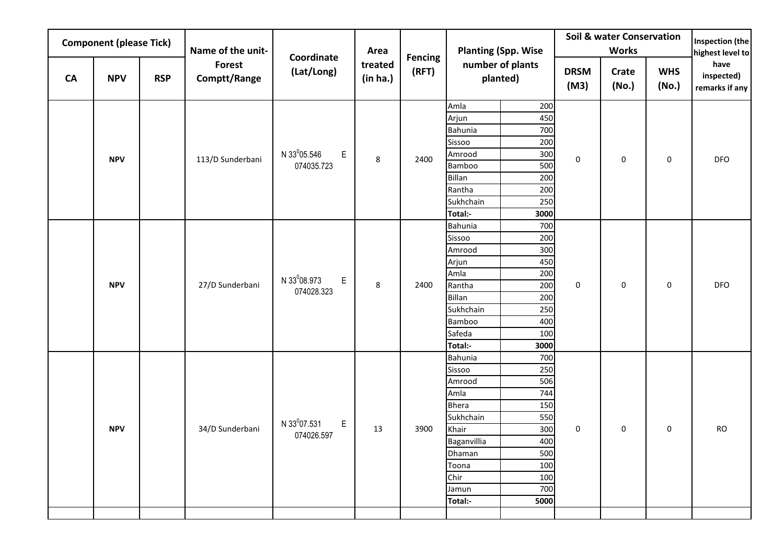|           | <b>Component (please Tick)</b> |            | Name of the unit-             |                                | Area                |                         |                   | <b>Planting (Spp. Wise</b>   |                     | <b>Soil &amp; water Conservation</b><br><b>Works</b> |                     | Inspection (the<br>highest level to  |
|-----------|--------------------------------|------------|-------------------------------|--------------------------------|---------------------|-------------------------|-------------------|------------------------------|---------------------|------------------------------------------------------|---------------------|--------------------------------------|
| <b>CA</b> | <b>NPV</b>                     | <b>RSP</b> | <b>Forest</b><br>Comptt/Range | Coordinate<br>(Lat/Long)       | treated<br>(in ha.) | <b>Fencing</b><br>(RFT) |                   | number of plants<br>planted) | <b>DRSM</b><br>(M3) | Crate<br>(No.)                                       | <b>WHS</b><br>(No.) | have<br>inspected)<br>remarks if any |
|           |                                |            |                               |                                |                     |                         | Amla              | 200                          |                     |                                                      |                     |                                      |
|           |                                |            |                               |                                |                     |                         | Arjun             | 450                          |                     |                                                      |                     |                                      |
|           |                                |            |                               |                                |                     |                         | Bahunia           | 700                          |                     |                                                      |                     |                                      |
|           |                                |            |                               |                                |                     |                         | Sissoo            | 200                          |                     |                                                      |                     |                                      |
|           | <b>NPV</b>                     |            | 113/D Sunderbani              | N 33 <sup>0</sup> 05.546<br>E  | 8                   | 2400                    | Amrood            | 300                          | 0                   | $\mathsf{O}\xspace$                                  | 0                   | DFO                                  |
|           |                                |            |                               | 074035.723                     |                     |                         | Bamboo<br>Billan  | 500<br>200                   |                     |                                                      |                     |                                      |
|           |                                |            |                               |                                |                     |                         | Rantha            | 200                          |                     |                                                      |                     |                                      |
|           |                                |            |                               |                                |                     |                         | Sukhchain         | 250                          |                     |                                                      |                     |                                      |
|           |                                |            |                               |                                |                     |                         | Total:-           | 3000                         |                     |                                                      |                     |                                      |
|           |                                |            |                               |                                |                     |                         | Bahunia           | 700                          |                     |                                                      |                     |                                      |
|           |                                |            |                               |                                |                     |                         | Sissoo            | 200                          |                     |                                                      |                     |                                      |
|           |                                |            |                               |                                |                     |                         | Amrood            | 300                          |                     |                                                      |                     |                                      |
|           |                                |            |                               |                                |                     |                         | Arjun             | 450                          |                     |                                                      |                     |                                      |
|           |                                |            |                               | N 33 <sup>0</sup> 08.973<br>E  |                     |                         | Amla              | 200                          |                     |                                                      |                     |                                      |
|           | <b>NPV</b>                     |            | 27/D Sunderbani               | 074028.323                     | 8                   | 2400                    | Rantha            | 200                          | 0                   | 0                                                    | 0                   | <b>DFO</b>                           |
|           |                                |            |                               |                                |                     |                         | Billan            | 200                          |                     |                                                      |                     |                                      |
|           |                                |            |                               |                                |                     |                         | Sukhchain         | 250                          |                     |                                                      |                     |                                      |
|           |                                |            |                               |                                |                     |                         | Bamboo            | 400                          |                     |                                                      |                     |                                      |
|           |                                |            |                               |                                |                     |                         | Safeda<br>Total:- | 100<br>3000                  |                     |                                                      |                     |                                      |
|           |                                |            |                               |                                |                     |                         | Bahunia           | 700                          |                     |                                                      |                     |                                      |
|           |                                |            |                               |                                |                     |                         | Sissoo            | 250                          |                     |                                                      |                     |                                      |
|           |                                |            |                               |                                |                     |                         | Amrood            | 506                          |                     |                                                      |                     |                                      |
|           |                                |            |                               |                                |                     |                         | Amla              | 744                          |                     |                                                      |                     |                                      |
|           |                                |            |                               |                                |                     |                         | <b>Bhera</b>      | 150                          |                     |                                                      |                     |                                      |
|           |                                |            |                               |                                |                     |                         | Sukhchain         | 550                          |                     |                                                      |                     |                                      |
|           | <b>NPV</b>                     |            | 34/D Sunderbani               | N 33º07.531<br>E<br>074026.597 | 13                  | 3900                    | Khair             | 300                          | 0                   | $\pmb{0}$                                            | 0                   | <b>RO</b>                            |
|           |                                |            |                               |                                |                     |                         | Baganvillia       | 400                          |                     |                                                      |                     |                                      |
|           |                                |            |                               |                                |                     |                         | Dhaman            | 500                          |                     |                                                      |                     |                                      |
|           |                                |            |                               |                                |                     |                         | Toona             | 100                          |                     |                                                      |                     |                                      |
|           |                                |            |                               |                                |                     | Chir                    | 100               |                              |                     |                                                      |                     |                                      |
|           |                                |            |                               |                                |                     |                         | Jamun             | 700                          |                     |                                                      |                     |                                      |
|           |                                |            |                               |                                |                     |                         | Total:-           | 5000                         |                     |                                                      |                     |                                      |
|           |                                |            |                               |                                |                     |                         |                   |                              |                     |                                                      |                     |                                      |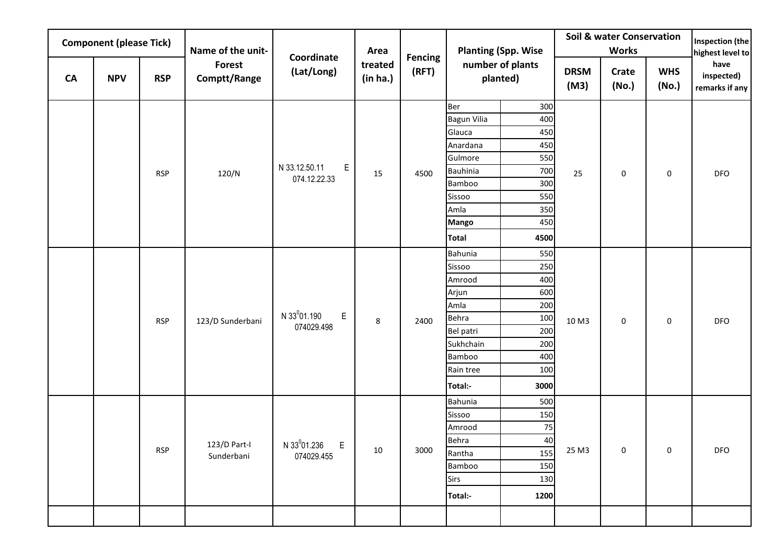|    | <b>Component (please Tick)</b> |            | Name of the unit-      |                                    | Area                |                         |                        | <b>Planting (Spp. Wise</b>   |                     | <b>Soil &amp; water Conservation</b><br><b>Works</b> |                     | Inspection (the<br>highest level to  |
|----|--------------------------------|------------|------------------------|------------------------------------|---------------------|-------------------------|------------------------|------------------------------|---------------------|------------------------------------------------------|---------------------|--------------------------------------|
| CA | <b>NPV</b>                     | <b>RSP</b> | Forest<br>Comptt/Range | Coordinate<br>(Lat/Long)           | treated<br>(in ha.) | <b>Fencing</b><br>(RFT) |                        | number of plants<br>planted) | <b>DRSM</b><br>(M3) | Crate<br>(No.)                                       | <b>WHS</b><br>(No.) | have<br>inspected)<br>remarks if any |
|    |                                |            |                        |                                    |                     |                         | Ber                    | 300                          |                     |                                                      |                     |                                      |
|    |                                |            |                        |                                    |                     |                         | <b>Bagun Vilia</b>     | 400                          |                     |                                                      |                     |                                      |
|    |                                |            |                        |                                    |                     |                         | Glauca                 | 450                          |                     |                                                      |                     |                                      |
|    |                                |            |                        |                                    |                     |                         | Anardana               | 450                          |                     |                                                      |                     |                                      |
|    |                                |            |                        |                                    |                     |                         | Gulmore                | 550                          |                     |                                                      |                     |                                      |
|    |                                | <b>RSP</b> | 120/N                  | N 33.12.50.11<br>E<br>074.12.22.33 | 15                  | 4500                    | <b>Bauhinia</b>        | 700                          | 25                  | 0                                                    | 0                   | DFO                                  |
|    |                                |            |                        |                                    |                     |                         | Bamboo                 | 300                          |                     |                                                      |                     |                                      |
|    |                                |            |                        |                                    |                     |                         | Sissoo                 | 550                          |                     |                                                      |                     |                                      |
|    |                                |            |                        |                                    |                     |                         | Amla                   | 350                          |                     |                                                      |                     |                                      |
|    |                                |            |                        |                                    |                     |                         | Mango                  | 450                          |                     |                                                      |                     |                                      |
|    |                                |            |                        |                                    |                     |                         | <b>Total</b>           | 4500                         |                     |                                                      |                     |                                      |
|    |                                |            |                        |                                    |                     |                         | Bahunia                | 550                          |                     |                                                      |                     |                                      |
|    |                                |            |                        |                                    |                     |                         | Sissoo                 | 250                          |                     |                                                      |                     |                                      |
|    |                                |            |                        |                                    |                     |                         | Amrood                 | 400                          |                     |                                                      |                     |                                      |
|    |                                |            |                        |                                    |                     |                         | Arjun                  | 600                          |                     |                                                      |                     |                                      |
|    |                                |            |                        | N 33 <sup>0</sup> 01.190<br>E      |                     |                         | Amla                   | 200                          |                     |                                                      |                     |                                      |
|    |                                | <b>RSP</b> | 123/D Sunderbani       | 074029.498                         | $\,8\,$             | 2400                    | Behra                  | 100                          | 10 M3               | $\mathsf 0$                                          | 0                   | DFO                                  |
|    |                                |            |                        |                                    |                     |                         | Bel patri<br>Sukhchain | 200<br>200                   |                     |                                                      |                     |                                      |
|    |                                |            |                        |                                    |                     |                         | Bamboo                 | 400                          |                     |                                                      |                     |                                      |
|    |                                |            |                        |                                    |                     |                         | Rain tree              | 100                          |                     |                                                      |                     |                                      |
|    |                                |            |                        |                                    |                     |                         | Total:-                | 3000                         |                     |                                                      |                     |                                      |
|    |                                |            |                        |                                    |                     |                         | Bahunia                | 500                          |                     |                                                      |                     |                                      |
|    |                                |            |                        |                                    |                     |                         | Sissoo                 | 150                          |                     |                                                      |                     |                                      |
|    |                                |            |                        |                                    |                     |                         | Amrood                 | $75\,$                       |                     |                                                      |                     |                                      |
|    |                                |            | 123/D Part-I           | N 33 <sup>0</sup> 01.236 E         |                     |                         | Behra                  | 40                           |                     |                                                      |                     |                                      |
|    |                                | <b>RSP</b> | Sunderbani             | 074029.455                         | 10                  | 3000                    | Rantha                 | 155                          | 25 M3               | $\mathsf{O}\xspace$                                  | $\mathsf{O}\xspace$ | DFO                                  |
|    |                                |            |                        |                                    |                     |                         | Bamboo                 | 150                          |                     |                                                      |                     |                                      |
|    |                                |            |                        |                                    |                     |                         | Sirs                   | 130                          |                     |                                                      |                     |                                      |
|    |                                |            |                        |                                    |                     |                         | Total:-                | 1200                         |                     |                                                      |                     |                                      |
|    |                                |            |                        |                                    |                     |                         |                        |                              |                     |                                                      |                     |                                      |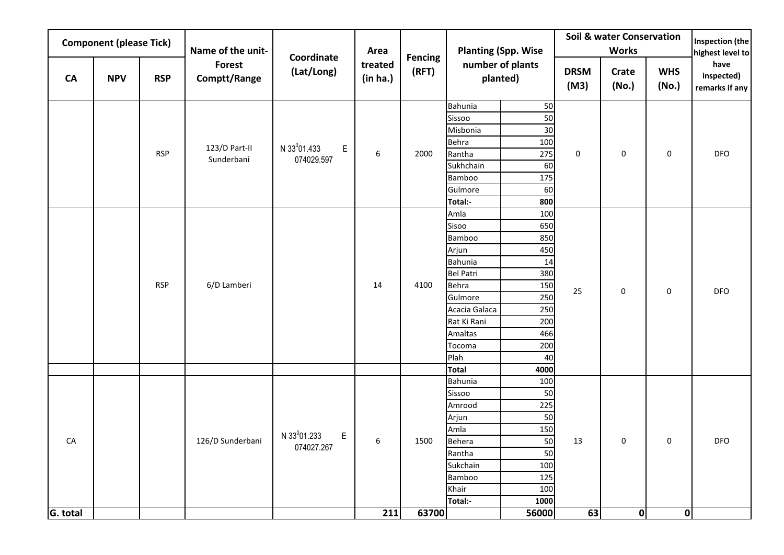|            | <b>Component (please Tick)</b> |            | Name of the unit-      |                                              | Area                |                         |                  | <b>Planting (Spp. Wise</b>   |                     | <b>Soil &amp; water Conservation</b><br><b>Works</b> |                     | Inspection (the<br>highest level to  |
|------------|--------------------------------|------------|------------------------|----------------------------------------------|---------------------|-------------------------|------------------|------------------------------|---------------------|------------------------------------------------------|---------------------|--------------------------------------|
| <b>CA</b>  | <b>NPV</b>                     | <b>RSP</b> | Forest<br>Comptt/Range | Coordinate<br>(Lat/Long)                     | treated<br>(in ha.) | <b>Fencing</b><br>(RFT) |                  | number of plants<br>planted) | <b>DRSM</b><br>(M3) | Crate<br>(No.)                                       | <b>WHS</b><br>(No.) | have<br>inspected)<br>remarks if any |
|            |                                |            |                        |                                              |                     |                         | Bahunia          | 50                           |                     |                                                      |                     |                                      |
|            |                                |            |                        |                                              |                     |                         | Sissoo           | 50                           |                     |                                                      |                     |                                      |
|            |                                |            |                        |                                              |                     |                         | Misbonia         | 30                           |                     |                                                      |                     |                                      |
|            |                                | <b>RSP</b> | 123/D Part-II          | N 33 <sup>0</sup> 01.433<br>E,               | $\boldsymbol{6}$    | 2000                    | Behra<br>Rantha  | 100<br>275                   | 0                   | 0                                                    | 0                   | DFO                                  |
|            |                                |            | Sunderbani             | 074029.597                                   |                     |                         | Sukhchain        | 60                           |                     |                                                      |                     |                                      |
|            |                                |            |                        |                                              |                     |                         | Bamboo           | 175                          |                     |                                                      |                     |                                      |
|            |                                |            |                        |                                              |                     |                         | Gulmore          | 60                           |                     |                                                      |                     |                                      |
|            |                                |            |                        |                                              |                     |                         | Total:-          | 800                          |                     |                                                      |                     |                                      |
|            |                                |            |                        |                                              |                     |                         | Amla             | 100                          |                     |                                                      |                     |                                      |
|            |                                |            |                        |                                              |                     |                         | Sisoo            | 650                          |                     |                                                      |                     |                                      |
|            |                                |            |                        |                                              |                     |                         | Bamboo           | 850                          |                     |                                                      |                     |                                      |
|            |                                |            |                        |                                              |                     |                         | Arjun            | 450                          |                     |                                                      |                     |                                      |
|            |                                |            |                        |                                              |                     |                         | Bahunia          | 14                           |                     |                                                      |                     |                                      |
|            |                                |            |                        |                                              |                     |                         | <b>Bel Patri</b> | 380                          |                     |                                                      |                     |                                      |
|            |                                | <b>RSP</b> | 6/D Lamberi            |                                              | 14                  | 4100                    | Behra            | 150                          | 25                  | $\mathsf 0$                                          | 0                   | <b>DFO</b>                           |
|            |                                |            |                        |                                              |                     |                         | Gulmore          | 250                          |                     |                                                      |                     |                                      |
|            |                                |            |                        |                                              |                     |                         | Acacia Galaca    | 250                          |                     |                                                      |                     |                                      |
|            |                                |            |                        |                                              |                     |                         | Rat Ki Rani      | 200                          |                     |                                                      |                     |                                      |
|            |                                |            |                        |                                              |                     |                         | Amaltas          | 466                          |                     |                                                      |                     |                                      |
|            |                                |            |                        |                                              |                     |                         | Tocoma<br>Plah   | 200<br>40                    |                     |                                                      |                     |                                      |
|            |                                |            |                        |                                              |                     |                         | <b>Total</b>     | 4000                         |                     |                                                      |                     |                                      |
|            |                                |            |                        |                                              |                     |                         | Bahunia          | 100                          |                     |                                                      |                     |                                      |
|            |                                |            |                        |                                              |                     |                         | Sissoo           | 50                           |                     |                                                      |                     |                                      |
|            |                                |            |                        |                                              |                     |                         | Amrood           | 225                          |                     |                                                      |                     |                                      |
|            |                                |            |                        |                                              |                     |                         | Arjun            | 50                           |                     |                                                      |                     |                                      |
|            |                                |            |                        |                                              |                     |                         | Amla             | 150                          |                     |                                                      |                     |                                      |
| ${\sf CA}$ |                                |            | 126/D Sunderbani       | N 33 <sup>0</sup> 01.233<br>E,<br>074027.267 | 6                   | 1500                    | Behera           | 50                           | 13                  | 0                                                    | 0                   | <b>DFO</b>                           |
|            |                                |            |                        |                                              |                     |                         | Rantha           | 50                           |                     |                                                      |                     |                                      |
|            |                                |            |                        |                                              |                     |                         | Sukchain         | 100                          |                     |                                                      |                     |                                      |
|            |                                |            |                        |                                              |                     |                         | Bamboo           | 125                          |                     |                                                      |                     |                                      |
|            |                                |            |                        |                                              |                     |                         | Khair            | 100                          |                     |                                                      |                     |                                      |
|            |                                |            |                        |                                              |                     |                         | Total:-          | 1000                         |                     |                                                      |                     |                                      |
| G. total   |                                |            |                        |                                              | 211                 | 63700                   |                  | 56000                        | 63                  | 0                                                    | 0                   |                                      |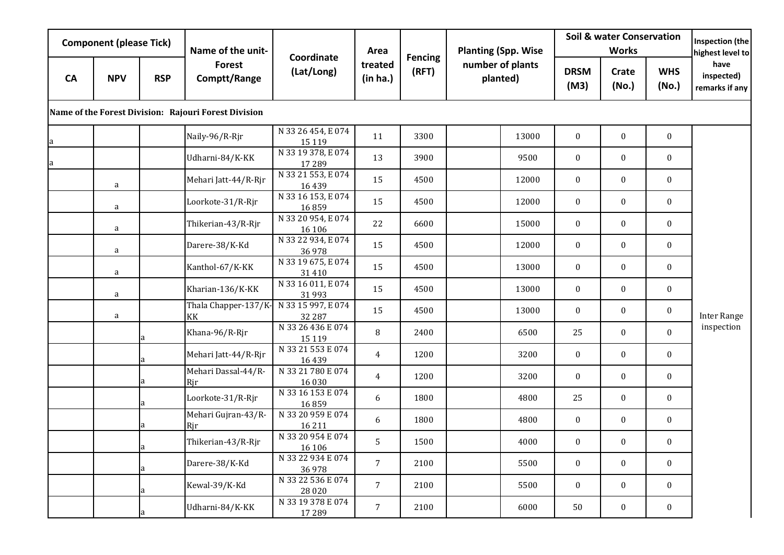|           | <b>Component (please Tick)</b> |              | Name of the unit-                                    |                               | Area                |                         | <b>Planting (Spp. Wise</b>   |                     | <b>Soil &amp; water Conservation</b><br><b>Works</b> |                     | Inspection (the<br>highest level to  |
|-----------|--------------------------------|--------------|------------------------------------------------------|-------------------------------|---------------------|-------------------------|------------------------------|---------------------|------------------------------------------------------|---------------------|--------------------------------------|
| <b>CA</b> | <b>NPV</b>                     | <b>RSP</b>   | <b>Forest</b><br>Comptt/Range                        | Coordinate<br>(Lat/Long)      | treated<br>(in ha.) | <b>Fencing</b><br>(RFT) | number of plants<br>planted) | <b>DRSM</b><br>(M3) | Crate<br>(No.)                                       | <b>WHS</b><br>(No.) | have<br>inspected)<br>remarks if any |
|           |                                |              | Name of the Forest Division: Rajouri Forest Division |                               |                     |                         |                              |                     |                                                      |                     |                                      |
| a         |                                |              | Naily-96/R-Rjr                                       | N 33 26 454, E 074<br>15 119  | 11                  | 3300                    | 13000                        | $\boldsymbol{0}$    | $\boldsymbol{0}$                                     | $\boldsymbol{0}$    |                                      |
| a         |                                |              | Udharni-84/K-KK                                      | N 33 19 378, E 074<br>17 289  | 13                  | 3900                    | 9500                         | $\boldsymbol{0}$    | $\mathbf{0}$                                         | $\bf{0}$            |                                      |
|           | a                              |              | Mehari Jatt-44/R-Rjr                                 | N 33 21 553, E 074<br>16 439  | 15                  | 4500                    | 12000                        | $\boldsymbol{0}$    | $\boldsymbol{0}$                                     | $\bf{0}$            |                                      |
|           | a                              |              | Loorkote-31/R-Rjr                                    | N 33 16 153, E 074<br>16859   | 15                  | 4500                    | 12000                        | $\boldsymbol{0}$    | $\mathbf{0}$                                         | $\bf{0}$            |                                      |
|           | a                              |              | Thikerian-43/R-Rjr                                   | N 33 20 954, E 074<br>16 10 6 | 22                  | 6600                    | 15000                        | $\mathbf{0}$        | $\mathbf{0}$                                         | $\bf{0}$            |                                      |
|           | a                              |              | Darere-38/K-Kd                                       | N 33 22 934, E 074<br>36978   | 15                  | 4500                    | 12000                        | $\bf{0}$            | $\bf{0}$                                             | $\bf{0}$            |                                      |
|           | a                              |              | Kanthol-67/K-KK                                      | N 33 19 675, E 074<br>31 410  | 15                  | 4500                    | 13000                        | $\bf{0}$            | $\bf{0}$                                             | $\boldsymbol{0}$    |                                      |
|           | a                              |              | Kharian-136/K-KK                                     | N 33 16 011, E 074<br>31993   | 15                  | 4500                    | 13000                        | $\bf{0}$            | $\mathbf{0}$                                         | $\bf{0}$            |                                      |
|           | a                              |              | Thala Chapper-137/K-<br>KK                           | N 33 15 997, E 074<br>32 287  | 15                  | 4500                    | 13000                        | $\bf{0}$            | $\mathbf{0}$                                         | $\bf{0}$            | <b>Inter Range</b>                   |
|           |                                | a            | Khana-96/R-Rjr                                       | N 33 26 436 E 074<br>15 1 19  | 8                   | 2400                    | 6500                         | 25                  | $\boldsymbol{0}$                                     | $\mathbf{0}$        | inspection                           |
|           |                                | a            | Mehari Jatt-44/R-Rjr                                 | N 33 21 553 E 074<br>16439    | 4                   | 1200                    | 3200                         | $\boldsymbol{0}$    | $\boldsymbol{0}$                                     | $\bf{0}$            |                                      |
|           |                                | a            | Mehari Dassal-44/R-<br>Rjr                           | N 33 21 780 E 074<br>16 030   | 4                   | 1200                    | 3200                         | $\boldsymbol{0}$    | $\mathbf{0}$                                         | $\bf{0}$            |                                      |
|           |                                | a            | Loorkote-31/R-Rjr                                    | N 33 16 153 E 074<br>16859    | 6                   | 1800                    | 4800                         | 25                  | $\boldsymbol{0}$                                     | $\bf{0}$            |                                      |
|           |                                | a            | Mehari Gujran-43/R-<br>Rjr                           | N 33 20 959 E 074<br>16 211   | 6                   | 1800                    | 4800                         | $\bf{0}$            | $\mathbf{0}$                                         | $\boldsymbol{0}$    |                                      |
|           |                                | <sub>a</sub> | Thikerian-43/R-Rjr                                   | N 33 20 954 E 074<br>16 10 6  | 5                   | 1500                    | 4000                         | $\boldsymbol{0}$    | $\bf{0}$                                             | $\boldsymbol{0}$    |                                      |
|           |                                | a            | Darere-38/K-Kd                                       | N 33 22 934 E 074<br>36978    | $\overline{7}$      | 2100                    | 5500                         | $\mathbf{0}$        | $\mathbf{0}$                                         | $\mathbf{0}$        |                                      |
|           |                                | a            | Kewal-39/K-Kd                                        | N 33 22 536 E 074<br>28 0 20  | $\overline{7}$      | 2100                    | 5500                         | $\boldsymbol{0}$    | $\mathbf{0}$                                         | $\bf{0}$            |                                      |
|           |                                | a            | Udharni-84/K-KK                                      | N 33 19 378 E 074<br>17 289   | $\overline{7}$      | 2100                    | 6000                         | 50                  | $\mathbf{0}$                                         | $\bf{0}$            |                                      |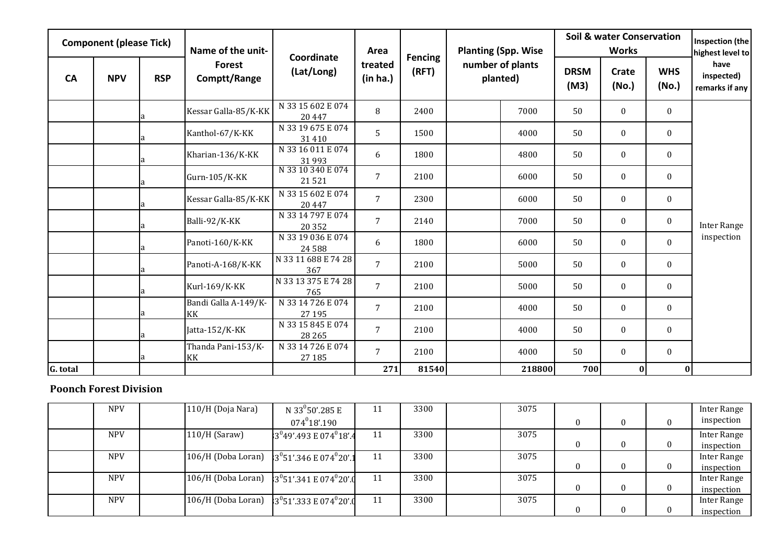|           | <b>Component (please Tick)</b> |            | Name of the unit-          | Coordinate                    | Area                |                         | <b>Planting (Spp. Wise</b>   |                     | <b>Soil &amp; water Conservation</b><br><b>Works</b> |                     | <b>Inspection (the</b><br>highest level to |
|-----------|--------------------------------|------------|----------------------------|-------------------------------|---------------------|-------------------------|------------------------------|---------------------|------------------------------------------------------|---------------------|--------------------------------------------|
| <b>CA</b> | <b>NPV</b>                     | <b>RSP</b> | Forest<br>Comptt/Range     | (Lat/Long)                    | treated<br>(in ha.) | <b>Fencing</b><br>(RFT) | number of plants<br>planted) | <b>DRSM</b><br>(M3) | Crate<br>(No.)                                       | <b>WHS</b><br>(No.) | have<br>inspected)<br>remarks if any       |
|           |                                |            | Kessar Galla-85/K-KK       | N 33 15 602 E 074<br>20 447   | 8                   | 2400                    | 7000                         | 50                  | $\bf{0}$                                             | $\bf{0}$            |                                            |
|           |                                |            | Kanthol-67/K-KK            | N 33 19 675 E 074<br>31 4 10  | 5                   | 1500                    | 4000                         | 50                  | $\mathbf{0}$                                         | $\mathbf{0}$        |                                            |
|           |                                |            | Kharian-136/K-KK           | N 33 16 011 E 074<br>31993    | 6                   | 1800                    | 4800                         | 50                  | $\mathbf{0}$                                         | $\bf{0}$            |                                            |
|           |                                |            | Gurn-105/K-KK              | N 33 10 340 E 074<br>21521    | $7^{\circ}$         | 2100                    | 6000                         | 50                  | $\boldsymbol{0}$                                     | $\mathbf{0}$        |                                            |
|           |                                |            | Kessar Galla-85/K-KK       | N 33 15 602 E 074<br>20 447   | $\overline{7}$      | 2300                    | 6000                         | 50                  | $\mathbf{0}$                                         | $\mathbf{0}$        |                                            |
|           |                                |            | Balli-92/K-KK              | N 33 14 797 E 074<br>20 352   | $\overline{7}$      | 2140                    | 7000                         | 50                  | $\boldsymbol{0}$                                     | $\boldsymbol{0}$    | <b>Inter Range</b>                         |
|           |                                |            | Panoti-160/K-KK            | N 33 19 036 E 074<br>24 5 8 8 | 6                   | 1800                    | 6000                         | 50                  | $\boldsymbol{0}$                                     | $\mathbf{0}$        | inspection                                 |
|           |                                |            | Panoti-A-168/K-KK          | N 33 11 688 E 74 28<br>367    | $7\overline{ }$     | 2100                    | 5000                         | 50                  | $\mathbf{0}$                                         | $\mathbf{0}$        |                                            |
|           |                                |            | Kurl-169/K-KK              | N 33 13 375 E 74 28<br>765    | 7                   | 2100                    | 5000                         | 50                  | $\mathbf{0}$                                         | $\bf{0}$            |                                            |
|           |                                |            | Bandi Galla A-149/K-<br>KK | N 33 14 726 E 074<br>27 195   | $\overline{7}$      | 2100                    | 4000                         | 50                  | $\mathbf{0}$                                         | $\mathbf{0}$        |                                            |
|           |                                |            | Jatta-152/K-KK             | N 33 15 845 E 074<br>28 26 5  | $7^{\circ}$         | 2100                    | 4000                         | 50                  | $\boldsymbol{0}$                                     | $\mathbf{0}$        |                                            |
|           |                                |            | Thanda Pani-153/K-<br>KK   | N 33 14 726 E 074<br>27 185   | 7                   | 2100                    | 4000                         | 50                  | $\mathbf{0}$                                         | $\bf{0}$            |                                            |
| G. total  |                                |            |                            |                               | 271                 | 81540                   | 218800                       | 700                 | $\bf{0}$                                             | $\bf{0}$            |                                            |

## **Poonch Forest Division**

| <b>NPV</b> | 110/H (Doja Nara)                                           | N 33 <sup>0</sup> 50'.285 E         | 11  | 3300 | 3075 |  |          | Inter Range |
|------------|-------------------------------------------------------------|-------------------------------------|-----|------|------|--|----------|-------------|
|            |                                                             | $074^018'$ .190                     |     |      |      |  | $\Omega$ | inspection  |
| <b>NPV</b> | $110/H$ (Saraw)                                             | $13^{0}49'$ .493 E 074 $^{0}18'$ .4 |     | 3300 | 3075 |  |          | Inter Range |
|            |                                                             |                                     |     |      |      |  | $\bf{0}$ | inspection  |
| <b>NPV</b> | 106/H (Doba Loran) $3^{0}51'$ :346 E 074 <sup>0</sup> 20'.1 |                                     | 11  | 3300 | 3075 |  |          | Inter Range |
|            |                                                             |                                     |     |      |      |  | $\Omega$ | inspection  |
| <b>NPV</b> | 106/H (Doba Loran) $3^{0}51'$ .341 E 074 <sup>0</sup> 20'.0 |                                     | 11  | 3300 | 3075 |  |          | Inter Range |
|            |                                                             |                                     |     |      |      |  | $\Omega$ | inspection  |
| <b>NPV</b> | 106/H (Doba Loran) $3^{0}51'$ .333 E 074 <sup>0</sup> 20'.0 |                                     | -11 | 3300 | 3075 |  |          | Inter Range |
|            |                                                             |                                     |     |      |      |  | 0        | inspection  |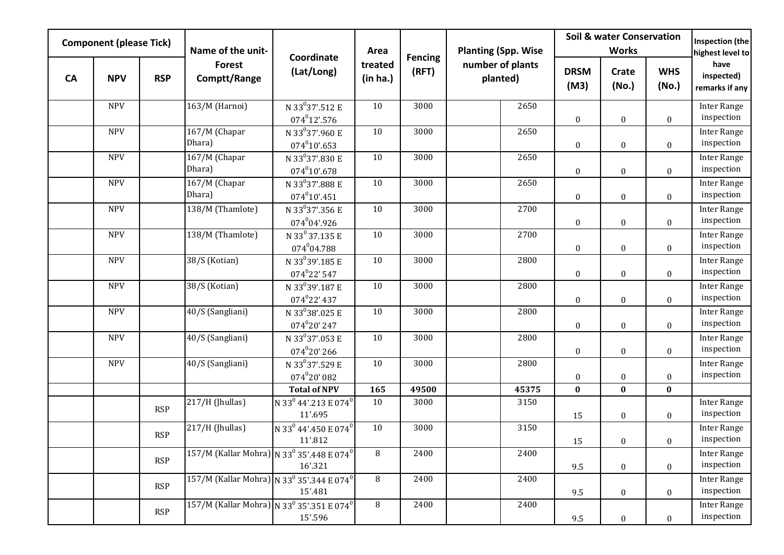|           | <b>Component (please Tick)</b> |            | Name of the unit-                                                   |                                                             | Area                |                         | <b>Planting (Spp. Wise</b>   |                     | <b>Soil &amp; water Conservation</b><br><b>Works</b> |                     | Inspection (the<br>highest level to  |
|-----------|--------------------------------|------------|---------------------------------------------------------------------|-------------------------------------------------------------|---------------------|-------------------------|------------------------------|---------------------|------------------------------------------------------|---------------------|--------------------------------------|
| <b>CA</b> | <b>NPV</b>                     | <b>RSP</b> | <b>Forest</b><br>Comptt/Range                                       | Coordinate<br>(Lat/Long)                                    | treated<br>(in ha.) | <b>Fencing</b><br>(RFT) | number of plants<br>planted) | <b>DRSM</b><br>(M3) | Crate<br>(No.)                                       | <b>WHS</b><br>(No.) | have<br>inspected)<br>remarks if any |
|           | <b>NPV</b>                     |            | 163/M (Harnoi)                                                      | $\overline{N}$ 33 <sup>0</sup> 37'.512 E<br>$074^012'$ .576 | 10                  | 3000                    | 2650                         | $\boldsymbol{0}$    | $\bf{0}$                                             | $\bf{0}$            | <b>Inter Range</b><br>inspection     |
|           | <b>NPV</b>                     |            | 167/M (Chapar<br>Dhara)                                             | N 33 <sup>0</sup> 37'.960 E<br>$074^{0}10'$ .653            | 10                  | 3000                    | 2650                         | $\boldsymbol{0}$    | $\boldsymbol{0}$                                     | $\boldsymbol{0}$    | <b>Inter Range</b><br>inspection     |
|           | <b>NPV</b>                     |            | 167/M (Chapar<br>Dhara)                                             | N 33 <sup>0</sup> 37'.830 E<br>$074^{0}10'$ .678            | 10                  | 3000                    | 2650                         | $\boldsymbol{0}$    | $\boldsymbol{0}$                                     | $\boldsymbol{0}$    | <b>Inter Range</b><br>inspection     |
|           | <b>NPV</b>                     |            | 167/M (Chapar<br>Dhara)                                             | N 33 <sup>0</sup> 37'.888 E<br>$074^{0}10'$ .451            | 10                  | 3000                    | 2650                         | $\boldsymbol{0}$    | $\boldsymbol{0}$                                     | $\boldsymbol{0}$    | <b>Inter Range</b><br>inspection     |
|           | <b>NPV</b>                     |            | 138/M (Thamlote)                                                    | N 33 <sup>0</sup> 37'.356 E<br>$074^{0}04'$ .926            | 10                  | 3000                    | 2700                         | $\boldsymbol{0}$    | $\boldsymbol{0}$                                     | $\boldsymbol{0}$    | <b>Inter Range</b><br>inspection     |
|           | <b>NPV</b>                     |            | 138/M (Thamlote)                                                    | N 33 <sup>0</sup> 37.135 E<br>074 <sup>0</sup> 04.788       | 10                  | 3000                    | 2700                         | $\boldsymbol{0}$    | $\boldsymbol{0}$                                     | $\boldsymbol{0}$    | <b>Inter Range</b><br>inspection     |
|           | <b>NPV</b>                     |            | 38/S (Kotian)                                                       | N 33 <sup>0</sup> 39'.185 E<br>$074^{0}22'547$              | 10                  | 3000                    | 2800                         | $\boldsymbol{0}$    | $\boldsymbol{0}$                                     | $\boldsymbol{0}$    | <b>Inter Range</b><br>inspection     |
|           | <b>NPV</b>                     |            | 38/S (Kotian)                                                       | N 33 <sup>0</sup> 39'.187 E<br>$074^{0}22'$ 437             | 10                  | 3000                    | 2800                         | $\boldsymbol{0}$    | $\boldsymbol{0}$                                     | $\boldsymbol{0}$    | <b>Inter Range</b><br>inspection     |
|           | <b>NPV</b>                     |            | 40/S (Sangliani)                                                    | N 33 <sup>0</sup> 38'.025 E<br>$074^020'$ 247               | 10                  | 3000                    | 2800                         | $\boldsymbol{0}$    | $\boldsymbol{0}$                                     | $\bf{0}$            | <b>Inter Range</b><br>inspection     |
|           | <b>NPV</b>                     |            | 40/S (Sangliani)                                                    | N 33 <sup>0</sup> 37'.053 E<br>$074^020'266$                | 10                  | 3000                    | 2800                         | $\boldsymbol{0}$    | $\boldsymbol{0}$                                     | $\boldsymbol{0}$    | <b>Inter Range</b><br>inspection     |
|           | <b>NPV</b>                     |            | 40/S (Sangliani)                                                    | N 33 <sup>0</sup> 37'.529 E<br>$074^{0}20'082$              | 10                  | 3000                    | 2800                         | $\boldsymbol{0}$    | $\boldsymbol{0}$                                     | $\boldsymbol{0}$    | <b>Inter Range</b><br>inspection     |
|           |                                |            |                                                                     | <b>Total of NPV</b>                                         | 165                 | 49500                   | 45375                        | $\bf{0}$            | $\bf{0}$                                             | $\bf{0}$            |                                      |
|           |                                | <b>RSP</b> | 217/H (Jhullas)                                                     | N 33 <sup>0</sup> 44'.213 E 074 <sup>0</sup><br>11'.695     | 10                  | 3000                    | 3150                         | 15                  | $\boldsymbol{0}$                                     | $\boldsymbol{0}$    | <b>Inter Range</b><br>inspection     |
|           |                                | <b>RSP</b> | 217/H (Jhullas)                                                     | N 33 <sup>0</sup> 44'.450 E 074 <sup>0</sup><br>11'.812     | 10                  | 3000                    | 3150                         | 15                  | $\boldsymbol{0}$                                     | $\boldsymbol{0}$    | <b>Inter Range</b><br>inspection     |
|           |                                | <b>RSP</b> | 157/M (Kallar Mohra) N 33 <sup>0</sup> 35'.448 E 074 <sup>0</sup>   | 16'.321                                                     | 8                   | 2400                    | 2400                         | 9.5                 | $\boldsymbol{0}$                                     | $\boldsymbol{0}$    | <b>Inter Range</b><br>inspection     |
|           |                                | <b>RSP</b> | 157/M (Kallar Mohra) N 33 <sup>0</sup> 35'.344 E 074 <sup>0</sup>   | 15'.481                                                     | 8                   | 2400                    | 2400                         | 9.5                 | $\boldsymbol{0}$                                     | $\mathbf{0}$        | Inter Range<br>inspection            |
|           |                                | <b>RSP</b> | $157/M$ (Kallar Mohra) N 33 <sup>0</sup> 35'.351 E 074 <sup>0</sup> | 15'.596                                                     | 8                   | 2400                    | 2400                         | 9.5                 | $\boldsymbol{0}$                                     | $\mathbf{0}$        | <b>Inter Range</b><br>inspection     |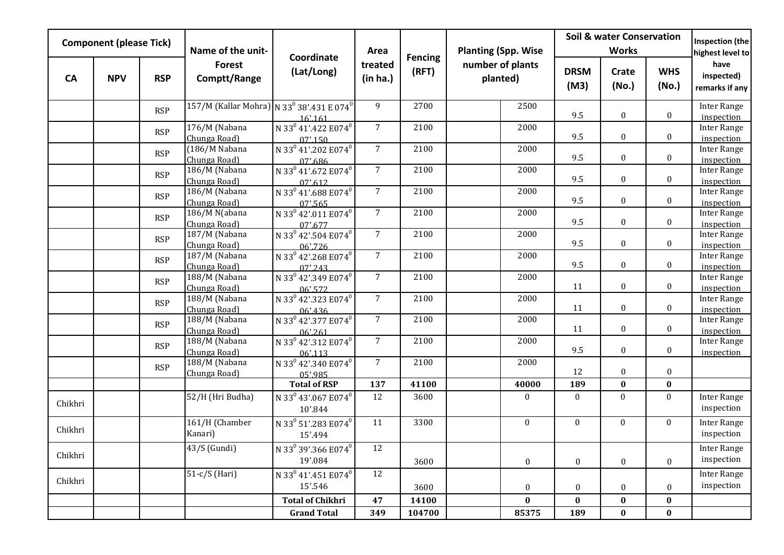|           | <b>Component (please Tick)</b> |            | Name of the unit-                                                 |                                                        | Area                |                         | <b>Planting (Spp. Wise</b>   |                  |                     | <b>Soil &amp; water Conservation</b><br><b>Works</b> |                     | Inspection (the<br>highest level to  |
|-----------|--------------------------------|------------|-------------------------------------------------------------------|--------------------------------------------------------|---------------------|-------------------------|------------------------------|------------------|---------------------|------------------------------------------------------|---------------------|--------------------------------------|
| <b>CA</b> | <b>NPV</b>                     | <b>RSP</b> | <b>Forest</b><br>Comptt/Range                                     | Coordinate<br>(Lat/Long)                               | treated<br>(in ha.) | <b>Fencing</b><br>(RFT) | number of plants<br>planted) |                  | <b>DRSM</b><br>(M3) | Crate<br>(No.)                                       | <b>WHS</b><br>(No.) | have<br>inspected)<br>remarks if any |
|           |                                | <b>RSP</b> | 157/M (Kallar Mohra) N 33 <sup>0</sup> 38'.431 E 074 <sup>0</sup> | 16' 161                                                | 9                   | 2700                    |                              | 2500             | 9.5                 | $\mathbf{0}$                                         | $\mathbf{0}$        | <b>Inter Range</b><br>inspection     |
|           |                                | <b>RSP</b> | 176/M (Nabana<br>Chunga Road)                                     | N 33 <sup>0</sup> 41'.422 E074 <sup>0</sup><br>07'.150 | 7 <sup>1</sup>      | 2100                    |                              | 2000             | 9.5                 | $\boldsymbol{0}$                                     | $\boldsymbol{0}$    | Inter Range<br>inspection            |
|           |                                | <b>RSP</b> | (186/M Nabana<br>Chunga Road)                                     | N 33 <sup>0</sup> 41'.202 E074 <sup>0</sup><br>07'.686 | 7 <sup>1</sup>      | 2100                    |                              | 2000             | 9.5                 | $\mathbf{0}$                                         | $\mathbf{0}$        | <b>Inter Range</b><br>inspection     |
|           |                                | <b>RSP</b> | 186/M (Nabana<br>Chunga Road)                                     | N 33 <sup>0</sup> 41'.672 E074 <sup>0</sup><br>07'.612 | 7 <sup>1</sup>      | 2100                    |                              | 2000             | 9.5                 | $\boldsymbol{0}$                                     | $\boldsymbol{0}$    | <b>Inter Range</b><br>inspection     |
|           |                                | <b>RSP</b> | 186/M (Nabana<br>Chunga Road)                                     | N 33 <sup>0</sup> 41'.688 E074 <sup>0</sup><br>07'565  | $\overline{7}$      | 2100                    |                              | 2000             | 9.5                 | $\mathbf{0}$                                         | $\mathbf{0}$        | <b>Inter Range</b><br>inspection     |
|           |                                | <b>RSP</b> | 186/M N(abana<br>Chunga Road)                                     | N 33 <sup>0</sup> 42'.011 E074 <sup>0</sup><br>07'.677 | $7\overline{ }$     | 2100                    |                              | 2000             | 9.5                 | $\mathbf{0}$                                         | $\mathbf{0}$        | <b>Inter Range</b><br>inspection     |
|           |                                | <b>RSP</b> | 187/M (Nabana<br>Chunga Road)                                     | N 33 <sup>0</sup> 42'.504 E074 <sup>0</sup><br>06'.726 | $7\overline{ }$     | 2100                    |                              | 2000             | 9.5                 | $\boldsymbol{0}$                                     | $\mathbf{0}$        | <b>Inter Range</b><br>inspection     |
|           |                                | <b>RSP</b> | 187/M (Nabana<br>Chunga Road)                                     | N 33 <sup>0</sup> 42'.268 E074 <sup>0</sup><br>07'.243 | $\overline{7}$      | 2100                    |                              | 2000             | 9.5                 | $\boldsymbol{0}$                                     | $\boldsymbol{0}$    | <b>Inter Range</b><br>inspection     |
|           |                                | <b>RSP</b> | 188/M (Nabana<br>Chunga Road)                                     | N 33 <sup>0</sup> 42'.349 E074 <sup>0</sup><br>06'.572 | 7 <sup>1</sup>      | 2100                    |                              | 2000             | 11                  | $\mathbf{0}$                                         | $\boldsymbol{0}$    | <b>Inter Range</b><br>inspection     |
|           |                                | <b>RSP</b> | 188/M (Nabana<br>Chunga Road)                                     | N 33 <sup>0</sup> 42'.323 E074 <sup>0</sup><br>06'.436 | $7\overline{ }$     | 2100                    |                              | 2000             | 11                  | $\boldsymbol{0}$                                     | $\boldsymbol{0}$    | <b>Inter Range</b><br>inspection     |
|           |                                | <b>RSP</b> | 188/M (Nabana<br>Chunga Road)                                     | N 33 <sup>0</sup> 42'.377 E074 <sup>0</sup><br>06'.261 | $\overline{7}$      | 2100                    |                              | 2000             | 11                  | $\boldsymbol{0}$                                     | $\boldsymbol{0}$    | <b>Inter Range</b><br>inspection     |
|           |                                | <b>RSP</b> | 188/M (Nabana<br>Chunga Road)                                     | N 33 <sup>0</sup> 42'.312 E074 <sup>0</sup><br>06'.113 | 7 <sup>7</sup>      | 2100                    |                              | 2000             | 9.5                 | $\boldsymbol{0}$                                     | $\bf{0}$            | <b>Inter Range</b><br>inspection     |
|           |                                | <b>RSP</b> | 188/M (Nabana<br>Chunga Road)                                     | N 33 <sup>0</sup> 42'.340 E074 <sup>0</sup><br>05'.985 | $\overline{7}$      | 2100                    |                              | 2000             | 12                  | $\bf{0}$                                             | $\boldsymbol{0}$    |                                      |
|           |                                |            |                                                                   | <b>Total of RSP</b>                                    | 137                 | 41100                   |                              | 40000            | 189                 | $\bf{0}$                                             | $\bf{0}$            |                                      |
| Chikhri   |                                |            | 52/H (Hri Budha)                                                  | N 33 <sup>0</sup> 43'.067 E074 <sup>0</sup><br>10'.844 | 12                  | 3600                    |                              | $\bf{0}$         | $\mathbf{0}$        | $\boldsymbol{0}$                                     | $\mathbf{0}$        | <b>Inter Range</b><br>inspection     |
| Chikhri   |                                |            | 161/H (Chamber<br>Kanari)                                         | N 33 <sup>0</sup> 51'.283 E074 <sup>0</sup><br>15'.494 | 11                  | 3300                    |                              | $\boldsymbol{0}$ | $\mathbf{0}$        | $\boldsymbol{0}$                                     | $\boldsymbol{0}$    | <b>Inter Range</b><br>inspection     |
| Chikhri   |                                |            | 43/S (Gundi)                                                      | N 33 <sup>0</sup> 39'.366 E074 <sup>0</sup><br>19'.084 | 12                  | 3600                    |                              | $\boldsymbol{0}$ | $\boldsymbol{0}$    | $\bf{0}$                                             | $\boldsymbol{0}$    | <b>Inter Range</b><br>inspection     |
| Chikhri   |                                |            | $51-c/S$ (Hari)                                                   | N 33 <sup>0</sup> 41'.451 E074 <sup>0</sup><br>15'.546 | 12                  | 3600                    |                              | $\boldsymbol{0}$ | $\boldsymbol{0}$    | $\boldsymbol{0}$                                     | $\boldsymbol{0}$    | <b>Inter Range</b><br>inspection     |
|           |                                |            |                                                                   | <b>Total of Chikhri</b>                                | 47                  | 14100                   |                              | $\bf{0}$         | $\boldsymbol{0}$    | $\bf{0}$                                             | $\bf{0}$            |                                      |
|           |                                |            |                                                                   | <b>Grand Total</b>                                     | 349                 | 104700                  |                              | 85375            | 189                 | $\bf{0}$                                             | $\bf{0}$            |                                      |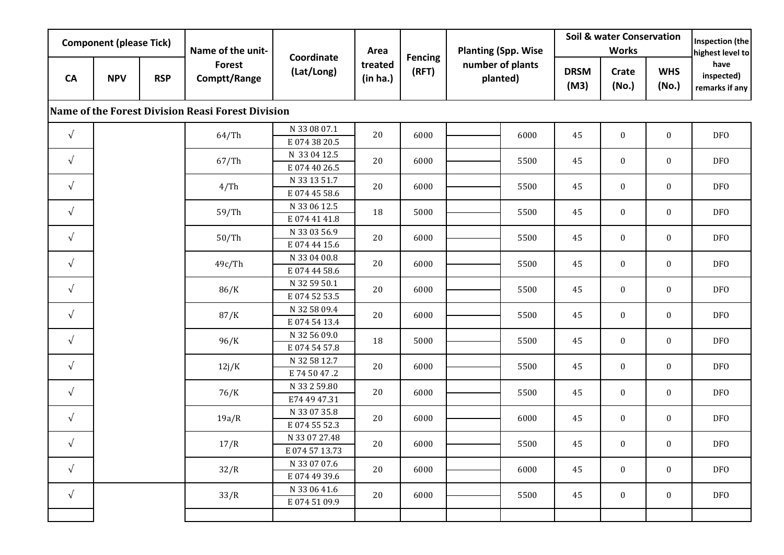| <b>Component (please Tick)</b> |            |            | Name of the unit-                                 | Coordinate                     | Area                | <b>Fencing</b> | <b>Planting (Spp. Wise</b>   |      | <b>Soil &amp; water Conservation</b><br><b>Works</b> |                  |                     | Inspection (the<br>highest level to  |
|--------------------------------|------------|------------|---------------------------------------------------|--------------------------------|---------------------|----------------|------------------------------|------|------------------------------------------------------|------------------|---------------------|--------------------------------------|
| <b>CA</b>                      | <b>NPV</b> | <b>RSP</b> | <b>Forest</b><br>Comptt/Range                     | (Lat/Long)                     | treated<br>(in ha.) | (RFT)          | number of plants<br>planted) |      | <b>DRSM</b><br>(M3)                                  | Crate<br>(No.)   | <b>WHS</b><br>(No.) | have<br>inspected)<br>remarks if any |
|                                |            |            | Name of the Forest Division Reasi Forest Division |                                |                     |                |                              |      |                                                      |                  |                     |                                      |
| $\sqrt{ }$                     |            |            | 64/Th                                             | N 33 08 07.1<br>E0743820.5     | 20                  | 6000           |                              | 6000 | 45                                                   | $\boldsymbol{0}$ | $\boldsymbol{0}$    | DF <sub>0</sub>                      |
| $\sqrt{ }$                     |            |            | 67/Th                                             | N 33 04 12.5<br>E074 40 26.5   | 20                  | 6000           |                              | 5500 | 45                                                   | $\boldsymbol{0}$ | $\boldsymbol{0}$    | <b>DFO</b>                           |
| $\sqrt{ }$                     |            |            | 4/Th                                              | N 33 13 51.7<br>E074 45 58.6   | 20                  | 6000           |                              | 5500 | 45                                                   | $\bf{0}$         | $\mathbf{0}$        | <b>DFO</b>                           |
| $\sqrt{ }$                     |            |            | 59/Th                                             | N 33 06 12.5<br>E0744141.8     | 18                  | 5000           |                              | 5500 | 45                                                   | $\boldsymbol{0}$ | $\boldsymbol{0}$    | <b>DFO</b>                           |
| $\sqrt{ }$                     |            |            | 50/Th                                             | N 33 03 56.9<br>E074 44 15.6   | 20                  | 6000           |                              | 5500 | 45                                                   | $\mathbf{0}$     | $\mathbf{0}$        | <b>DFO</b>                           |
| $\sqrt{ }$                     |            |            | 49c/Th                                            | N 33 04 00.8<br>E074 44 58.6   | 20                  | 6000           |                              | 5500 | 45                                                   | $\bf{0}$         | $\bf{0}$            | <b>DFO</b>                           |
| $\sqrt{ }$                     |            |            | 86/K                                              | N 32 59 50.1<br>E0745253.5     | 20                  | 6000           |                              | 5500 | 45                                                   | $\mathbf{0}$     | $\mathbf{0}$        | <b>DFO</b>                           |
| $\sqrt{ }$                     |            |            | 87/K                                              | N 32 58 09.4<br>E074 54 13.4   | 20                  | 6000           |                              | 5500 | 45                                                   | $\mathbf{0}$     | $\boldsymbol{0}$    | <b>DFO</b>                           |
| $\sqrt{ }$                     |            |            | 96/K                                              | N 32 56 09.0<br>E074 54 57.8   | 18                  | 5000           |                              | 5500 | 45                                                   | $\mathbf{0}$     | $\mathbf{0}$        | <b>DFO</b>                           |
| $\sqrt{ }$                     |            |            | 12j/K                                             | N 32 58 12.7<br>E 74 50 47.2   | 20                  | 6000           |                              | 5500 | 45                                                   | $\boldsymbol{0}$ | $\boldsymbol{0}$    | <b>DFO</b>                           |
| $\sqrt{ }$                     |            |            | 76/K                                              | N 33 2 59.80<br>E74 49 47.31   | 20                  | 6000           |                              | 5500 | 45                                                   | $\bf{0}$         | $\boldsymbol{0}$    | <b>DFO</b>                           |
| $\sqrt{ }$                     |            |            | 19a/R                                             | N 33 07 35.8<br>E074 55 52.3   | 20                  | 6000           |                              | 6000 | 45                                                   | $\bf{0}$         | $\bf{0}$            | <b>DFO</b>                           |
| $\sqrt{ }$                     |            |            | 17/R                                              | N 33 07 27.48<br>E074 57 13.73 | 20                  | 6000           |                              | 5500 | 45                                                   | $\mathbf{0}$     | $\mathbf{0}$        | <b>DFO</b>                           |
| $\sqrt{ }$                     |            |            | 32/R                                              | N 33 07 07.6<br>E074 49 39.6   | 20                  | 6000           |                              | 6000 | 45                                                   | $\bf{0}$         | $\mathbf{0}$        | <b>DFO</b>                           |
| $\sqrt{ }$                     |            |            | 33/R                                              | N 33 06 41.6<br>E0745109.9     | 20                  | 6000           |                              | 5500 | 45                                                   | $\boldsymbol{0}$ | $\boldsymbol{0}$    | <b>DFO</b>                           |
|                                |            |            |                                                   |                                |                     |                |                              |      |                                                      |                  |                     |                                      |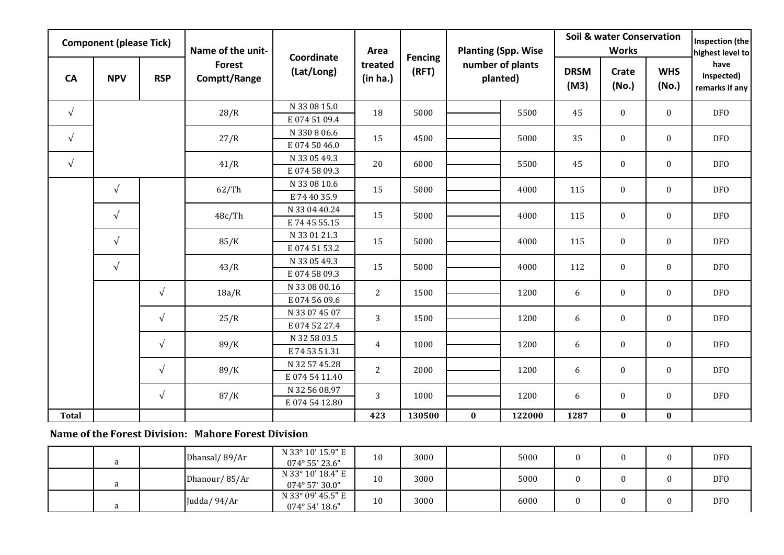| <b>Component (please Tick)</b> |                                        |            | Name of the unit-             | Coordinate                    | Area                | <b>Fencing</b> | <b>Planting (Spp. Wise</b>   |              | <b>Soil &amp; water Conservation</b> | <b>Inspection (the</b><br>highest level to |                              |                                        |            |                |      |  |      |
|--------------------------------|----------------------------------------|------------|-------------------------------|-------------------------------|---------------------|----------------|------------------------------|--------------|--------------------------------------|--------------------------------------------|------------------------------|----------------------------------------|------------|----------------|------|--|------|
| <b>CA</b>                      | <b>NPV</b>                             | <b>RSP</b> | <b>Forest</b><br>Comptt/Range | (Lat/Long)                    | treated<br>(in ha.) | (RFT)          | number of plants<br>planted) |              | <b>DRSM</b><br>(M3)                  | <b>Crate</b><br>(No.)                      | <b>WHS</b><br>(No.)          | have<br>inspected)<br>remarks if any   |            |                |      |  |      |
| $\sqrt{ }$                     |                                        |            | 28/R                          | N 33 08 15.0                  | 18                  | 5000           |                              | 5500         | 45                                   | $\mathbf{0}$                               | $\mathbf{0}$                 | <b>DFO</b>                             |            |                |      |  |      |
|                                |                                        |            |                               | E0745109.4                    |                     |                |                              |              |                                      |                                            |                              |                                        |            |                |      |  |      |
| $\sqrt{ }$                     |                                        |            | 27/R                          | N 330 8 06.6                  | 15                  | 4500           |                              | 5000         | 35                                   | $\boldsymbol{0}$                           | $\mathbf{0}$                 | <b>DFO</b>                             |            |                |      |  |      |
|                                |                                        |            |                               | E0745046.0                    |                     |                |                              |              |                                      |                                            |                              |                                        |            |                |      |  |      |
| $\sqrt{ }$                     |                                        |            | 41/R                          | N 33 05 49.3                  | 20                  | 6000<br>5000   |                              | 5500<br>4000 | 45<br>115                            | $\boldsymbol{0}$<br>$\mathbf{0}$           | $\mathbf{0}$<br>$\mathbf{0}$ | <b>DFO</b><br><b>DFO</b><br><b>DFO</b> |            |                |      |  |      |
|                                |                                        |            |                               | E0745809.3                    |                     |                |                              |              |                                      |                                            |                              |                                        |            |                |      |  |      |
|                                | $\sqrt{ }$<br>$\sqrt{ }$<br>$\sqrt{ }$ |            | 62/Th                         | N 33 08 10.6                  | 15                  |                |                              |              |                                      |                                            |                              |                                        |            |                |      |  |      |
|                                |                                        |            |                               | E 74 40 35.9<br>N 33 04 40.24 |                     |                |                              |              |                                      |                                            |                              |                                        |            |                |      |  |      |
|                                |                                        |            | 48c/Th                        | E 74 45 55.15                 | 15                  | 5000           |                              | 4000         | 115                                  | $\boldsymbol{0}$                           | $\boldsymbol{0}$             |                                        |            |                |      |  |      |
|                                |                                        |            |                               | N 33 01 21.3                  |                     |                |                              |              |                                      |                                            |                              |                                        |            |                |      |  |      |
|                                |                                        | 85/K       | E0745153.2                    | 15                            | 5000                |                | 4000                         | 115          | $\boldsymbol{0}$                     | $\mathbf{0}$                               | <b>DFO</b>                   |                                        |            |                |      |  |      |
|                                |                                        |            |                               | N 33 05 49.3                  |                     |                |                              |              |                                      |                                            |                              |                                        |            |                |      |  |      |
|                                | $\sqrt{ }$                             |            | 43/R                          | E0745809.3                    | 15                  | 5000           |                              | 4000         | 112                                  | $\mathbf{0}$                               | $\bf{0}$                     | <b>DFO</b>                             |            |                |      |  |      |
|                                |                                        | $\sqrt{ }$ |                               |                               |                     |                | N 33 08 00.16                |              |                                      |                                            |                              |                                        |            |                |      |  |      |
|                                |                                        |            |                               |                               |                     |                |                              |              |                                      |                                            |                              | 18a/R                                  | E0745609.6 | $\overline{2}$ | 1500 |  | 1200 |
|                                |                                        |            | N 33 07 45 07                 |                               |                     |                |                              |              |                                      |                                            |                              |                                        |            |                |      |  |      |
|                                |                                        | $\sqrt{ }$ | 25/R                          | E0745227.4                    | $\overline{3}$      | 1500           |                              | 1200         | 6                                    | $\boldsymbol{0}$                           | $\boldsymbol{0}$             | <b>DFO</b>                             |            |                |      |  |      |
|                                |                                        | $\sqrt{ }$ | N 32 58 03.5                  | $\overline{4}$                | 1000                |                | 1200                         | 6            | $\boldsymbol{0}$                     | $\bf{0}$                                   |                              |                                        |            |                |      |  |      |
|                                |                                        |            | 89/K                          | E 74 53 51.31                 |                     |                |                              |              |                                      |                                            |                              | <b>DFO</b>                             |            |                |      |  |      |
|                                |                                        | $\sqrt{ }$ | 89/K                          | N 32 57 45.28                 | $\overline{2}$      | 2000           |                              | 1200         | 6                                    | $\boldsymbol{0}$                           | $\boldsymbol{0}$             | <b>DFO</b>                             |            |                |      |  |      |
|                                |                                        |            |                               | E0745411.40                   |                     |                |                              |              |                                      |                                            |                              |                                        |            |                |      |  |      |
|                                |                                        | $\sqrt{ }$ | 87/K                          | N 32 56 08.97                 | $\overline{3}$      | 1000           |                              | 1200         | 6                                    | $\boldsymbol{0}$                           | $\mathbf{0}$                 | <b>DFO</b>                             |            |                |      |  |      |
|                                |                                        |            |                               | E0745412.80                   |                     |                |                              |              |                                      |                                            |                              |                                        |            |                |      |  |      |
| <b>Total</b>                   |                                        |            |                               |                               | 423                 | 130500         | $\bf{0}$                     | 122000       | 1287                                 | $\bf{0}$                                   | $\bf{0}$                     |                                        |            |                |      |  |      |

## **Name of the Forest Division: Mahore Forest Division**

|  | Dhansal/89/Ar | N 33° 10' 15.9" E<br>074° 55' 23.6"          | 10 | 3000 | 5000 |  | DF <sub>0</sub> |
|--|---------------|----------------------------------------------|----|------|------|--|-----------------|
|  | Dhanour/85/Ar | N 33° 10' 18.4" E<br>$074^{\circ}$ 57' 30.0" | 10 | 3000 | 5000 |  | <b>DFO</b>      |
|  | Judda/94/Ar   | N 33° 09' 45.5" E<br>074° 54' 18.6"          | 10 | 3000 | 6000 |  | <b>DFO</b>      |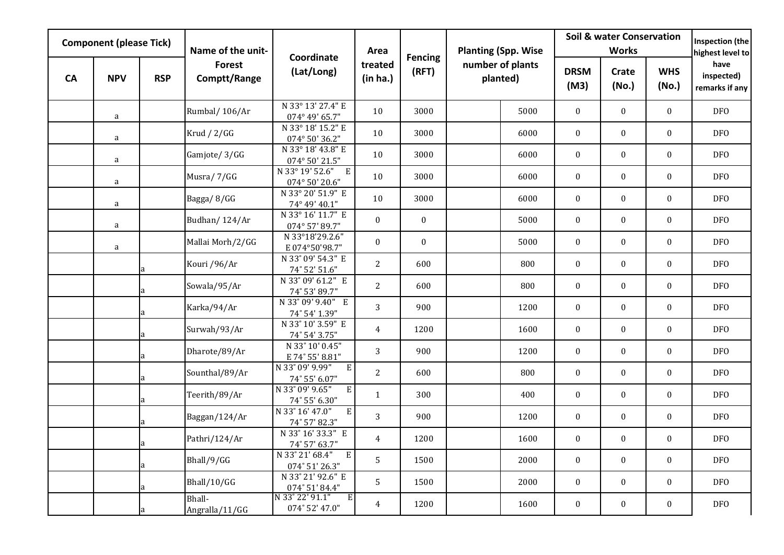| <b>Component (please Tick)</b> |            | Name of the unit- | Coordinate                    | Area                                            | <b>Fencing</b>      | <b>Planting (Spp. Wise</b> |                              | <b>Soil &amp; water Conservation</b> | Inspection (the<br>highest level to |                  |                     |                                      |
|--------------------------------|------------|-------------------|-------------------------------|-------------------------------------------------|---------------------|----------------------------|------------------------------|--------------------------------------|-------------------------------------|------------------|---------------------|--------------------------------------|
| <b>CA</b>                      | <b>NPV</b> | <b>RSP</b>        | <b>Forest</b><br>Comptt/Range | (Lat/Long)                                      | treated<br>(in ha.) | (RFT)                      | number of plants<br>planted) |                                      | <b>DRSM</b><br>(M3)                 | Crate<br>(No.)   | <b>WHS</b><br>(No.) | have<br>inspected)<br>remarks if any |
|                                | a          |                   | Rumbal/106/Ar                 | N 33° 13' 27.4" E<br>074° 49' 65.7"             | 10                  | 3000                       |                              | 5000                                 | $\mathbf{0}$                        | $\mathbf{0}$     | $\boldsymbol{0}$    | <b>DFO</b>                           |
|                                | a          |                   | Krud $/ 2/GG$                 | N 33° 18' 15.2" E<br>074° 50' 36.2"             | 10                  | 3000                       |                              | 6000                                 | $\mathbf{0}$                        | $\mathbf{0}$     | $\mathbf{0}$        | <b>DFO</b>                           |
|                                | a          |                   | Gamjote/3/GG                  | N 33° 18' 43.8" E<br>074° 50' 21.5"             | 10                  | 3000                       |                              | 6000                                 | $\mathbf{0}$                        | $\boldsymbol{0}$ | $\boldsymbol{0}$    | DF <sub>O</sub>                      |
|                                | a          |                   | Musra/7/GG                    | N 33° 19' 52.6" E<br>074° 50' 20.6"             | 10                  | 3000                       |                              | 6000                                 | $\boldsymbol{0}$                    | $\boldsymbol{0}$ | $\boldsymbol{0}$    | <b>DFO</b>                           |
|                                | $\rm{a}$   |                   | Bagga/8/GG                    | N 33° 20' 51.9" E<br>74° 49' 40.1"              | 10                  | 3000                       |                              | 6000                                 | $\mathbf{0}$                        | $\mathbf{0}$     | $\mathbf{0}$        | <b>DFO</b>                           |
|                                | a          |                   | Budhan/124/Ar                 | N 33° 16' 11.7" E<br>074° 57' 89.7"             | $\mathbf{0}$        | $\boldsymbol{0}$           |                              | 5000                                 | $\mathbf{0}$                        | $\boldsymbol{0}$ | $\boldsymbol{0}$    | <b>DFO</b>                           |
|                                | a          |                   | Mallai Morh/2/GG              | N 33°18'29.2.6"<br>E074°50'98.7"                | $\boldsymbol{0}$    | $\boldsymbol{0}$           |                              | 5000                                 | $\boldsymbol{0}$                    | $\boldsymbol{0}$ | $\boldsymbol{0}$    | <b>DFO</b>                           |
|                                |            |                   | Kouri /96/Ar                  | N 33° 09' 54.3" E<br>74° 52' 51.6"              | 2                   | 600                        |                              | 800                                  | $\boldsymbol{0}$                    | $\mathbf{0}$     | $\mathbf{0}$        | <b>DFO</b>                           |
|                                |            | la.               | Sowala/95/Ar                  | N 33° 09' 61.2" E<br>74° 53' 89.7"              | $\overline{2}$      | 600                        |                              | 800                                  | $\boldsymbol{0}$                    | $\mathbf{0}$     | $\boldsymbol{0}$    | <b>DFO</b>                           |
|                                |            |                   | Karka/94/Ar                   | N 33° 09' 9.40" E<br>74° 54' 1.39"              | 3                   | 900                        |                              | 1200                                 | $\boldsymbol{0}$                    | $\boldsymbol{0}$ | $\overline{0}$      | DF <sub>0</sub>                      |
|                                |            |                   | Surwah/93/Ar                  | N 33° 10' 3.59" E<br>74° 54' 3.75"              | $\overline{4}$      | 1200                       |                              | 1600                                 | $\mathbf{0}$                        | $\mathbf{0}$     | $\mathbf{0}$        | DF <sub>O</sub>                      |
|                                |            |                   | Dharote/89/Ar                 | N 33° 10' 0.45"<br>E 74° 55' 8.81"              | 3                   | 900                        |                              | 1200                                 | $\mathbf{0}$                        | $\mathbf{0}$     | $\boldsymbol{0}$    | DF <sub>0</sub>                      |
|                                |            | a                 | Sounthal/89/Ar                | $\mathbf E$<br>N 33° 09' 9.99"<br>74° 55' 6.07" | $\overline{2}$      | 600                        |                              | 800                                  | $\mathbf{0}$                        | $\boldsymbol{0}$ | $\overline{0}$      | <b>DFO</b>                           |
|                                |            |                   | Teerith/89/Ar                 | N 33° 09' 9.65"<br>${\bf E}$<br>74° 55' 6.30"   | $\mathbf{1}$        | 300                        |                              | 400                                  | $\boldsymbol{0}$                    | $\mathbf{0}$     | $\boldsymbol{0}$    | <b>DFO</b>                           |
|                                |            |                   | Baggan/124/Ar                 | ${\bf E}$<br>N 33° 16' 47.0"<br>74° 57' 82.3"   | $\overline{3}$      | 900                        |                              | 1200                                 | $\mathbf{0}$                        | $\mathbf{0}$     | $\boldsymbol{0}$    | <b>DFO</b>                           |
|                                |            |                   | Pathri/124/Ar                 | N 33°16'33.3" E<br>74° 57' 63.7"                | $\overline{4}$      | 1200                       |                              | 1600                                 | $\mathbf{0}$                        | $\boldsymbol{0}$ | $\boldsymbol{0}$    | DF <sub>O</sub>                      |
|                                |            | a                 | Bhall/9/GG                    | N 33° 21' 68.4"<br>E<br>074° 51' 26.3"          | 5                   | 1500                       |                              | 2000                                 | $\boldsymbol{0}$                    | $\boldsymbol{0}$ | $\boldsymbol{0}$    | <b>DFO</b>                           |
|                                |            |                   | Bhall/10/GG                   | N 33° 21' 92.6" E<br>074° 51' 84.4"             | 5                   | 1500                       |                              | 2000                                 | $\boldsymbol{0}$                    | $\mathbf{0}$     | $\boldsymbol{0}$    | <b>DFO</b>                           |
|                                |            |                   | Bhall-<br>Angralla/11/GG      | N 33° 22' 91.1"<br>E<br>074° 52' 47.0"          | 4                   | 1200                       |                              | 1600                                 | $\boldsymbol{0}$                    | $\mathbf{0}$     | $\boldsymbol{0}$    | <b>DFO</b>                           |